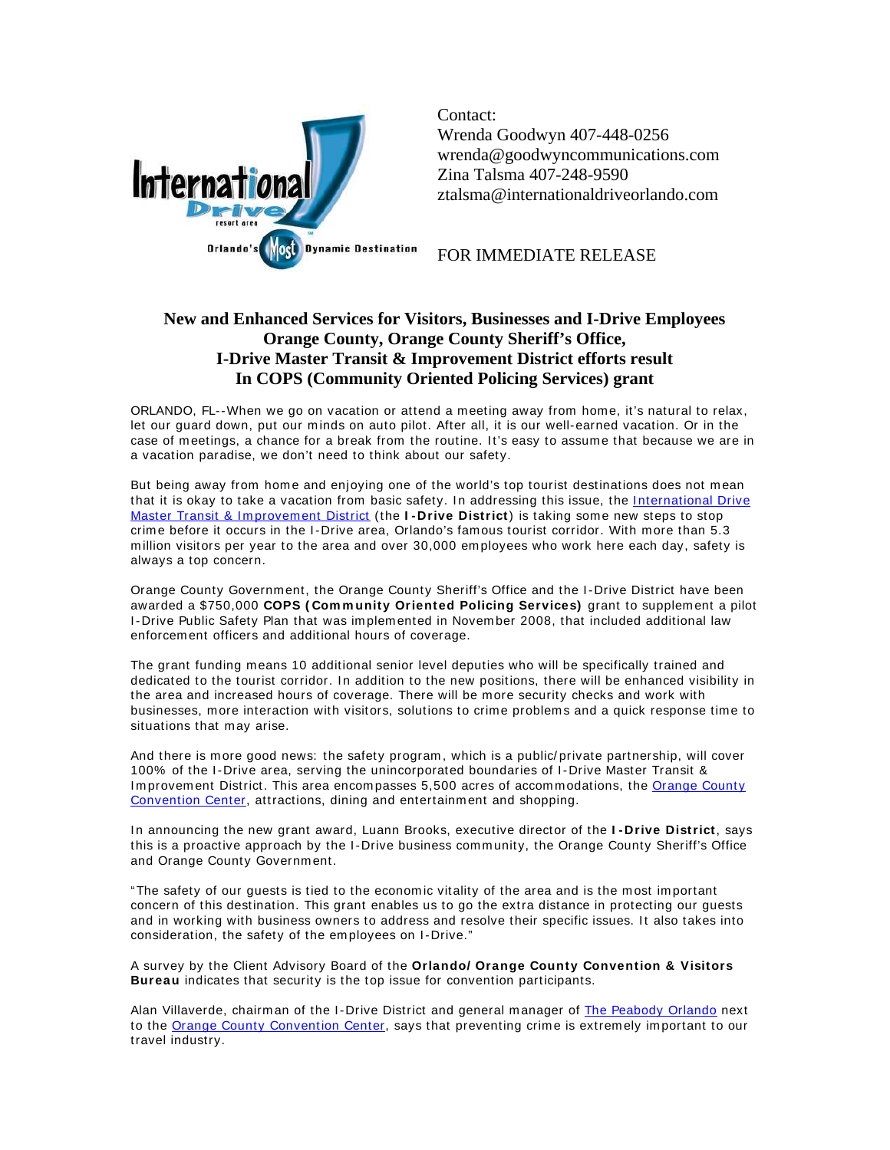

Contact: Wrenda Goodwyn 407-448-0256 wrenda@goodwyncommunications.com Zina Talsma 407-248-9590 ztalsma@internationaldriveorlando.com

FOR IMMEDIATE RELEASE

## **New and Enhanced Services for Visitors, Businesses and I-Drive Employees Orange County, Orange County Sheriff's Office, I-Drive Master Transit & Improvement District efforts result In COPS (Community Oriented Policing Services) grant**

ORLANDO, FL--When we go on vacation or attend a meeting away from home, it's natural to relax, let our guard down, put our minds on auto pilot. After all, it is our well-earned vacation. Or in the case of meetings, a chance for a break from the routine. It's easy to assume that because we are in a vacation paradise, we don't need to think about our safety.

But being away from home and enjoying one of the world's top tourist destinations does not mean that it is okay to take a vacation from basic safety. In addressing this issue, the International Drive Master Transit & Improvement District (the **I-Drive District**) is taking some new steps to stop crime before it occurs in the I-Drive area, Orlando's famous tourist corridor. With more than 5.3 m illion visitors per year to the area and over 30,000 em ployees who work here each day, safety is always a top concern.

Orange County Government, the Orange County Sheriff's Office and the I -Drive District have been awarded a \$750,000 **COPS ( Com m unity Oriented Policing Services)** grant to supplement a pilot I-Drive Public Safety Plan that was implemented in November 2008, that included additional law enforcem ent officers and additional hours of coverage.

The grant funding means 10 additional senior level deputies who will be specifically trained and dedicated to the tourist corridor. In addition to the new positions, there will be enhanced visibility in the area and increased hours of coverage. There will be m ore security checks and work with businesses, more interaction with visitors, solutions to crime problems and a quick response time to situations that may arise.

And there is m ore good news: the safety program , which is a public/ private partnership, will cover 100% of the I-Drive area, serving the unincorporated boundaries of I-Drive Master Transit & Improvement District. This area encompasses 5,500 acres of accommodations, the Orange County Convention Center, attractions, dining and entertainment and shopping.

In announcing the new grant award, Luann Brooks, executive director of the I-Drive District, says this is a proactive approach by the I-Drive business community, the Orange County Sheriff's Office and Orange County Government.

"The safety of our guests is tied to the econom ic vitality of the area and is the m ost im portant concern of this destination. This grant enables us to go the extra distance in protecting our guests and in working with business owners to address and resolve their specific issues. It also takes into consideration, the safety of the employees on I-Drive."

A survey by the Client Advisory Board of the **Orlando/ Orange County Convention & Visitors Bureau** indicates that security is the top issue for convention participants.

Alan Villaverde, chairman of the I-Drive District and general manager of The Peabody Orlando next to the Orange County Convention Center, says that preventing crime is extremely important to our travel industry.